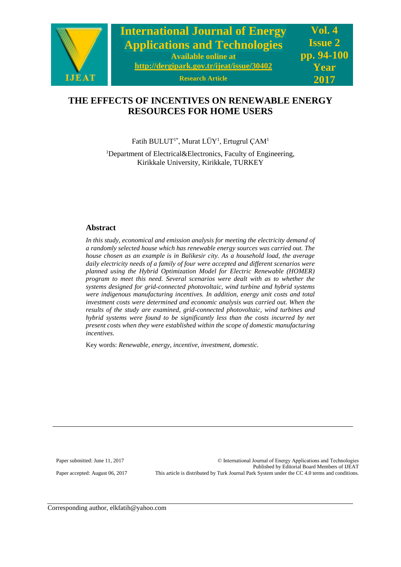

# **THE EFFECTS OF INCENTIVES ON RENEWABLE ENERGY RESOURCES FOR HOME USERS**

Fatih BULUT<sup>1\*</sup>, Murat LÜY<sup>1</sup>, Ertugrul ÇAM<sup>1</sup>

<sup>1</sup>Department of Electrical&Electronics, Faculty of Engineering, Kirikkale University, Kirikkale, TURKEY

### **Abstract**

*In this study, economical and emission analysis for meeting the electricity demand of a randomly selected house which has renewable energy sources was carried out. The house chosen as an example is in Balikesir city. As a household load, the average daily electricity needs of a family of four were accepted and different scenarios were planned using the Hybrid Optimization Model for Electric Renewable (HOMER) program to meet this need. Several scenarios were dealt with as to whether the systems designed for grid-connected photovoltaic, wind turbine and hybrid systems were indigenous manufacturing incentives. In addition, energy unit costs and total investment costs were determined and economic analysis was carried out. When the results of the study are examined, grid-connected photovoltaic, wind turbines and hybrid systems were found to be significantly less than the costs incurred by net present costs when they were established within the scope of domestic manufacturing incentives.*

Key words: *Renewable, energy, incentive, investment, domestic.*

Paper submitted: June 11, 2017 © International Journal of Energy Applications and Technologies Published by Editorial Board Members of IJEAT Paper accepted: August 06, 2017 This article is distributed by Turk Journal Park System under the CC 4.0 terms and conditions.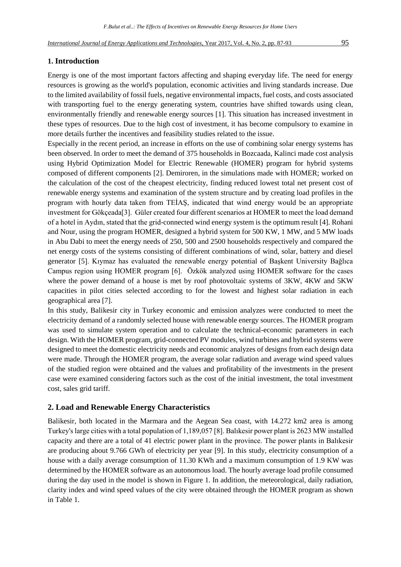### **1. Introduction**

Energy is one of the most important factors affecting and shaping everyday life. The need for energy resources is growing as the world's population, economic activities and living standards increase. Due to the limited availability of fossil fuels, negative environmental impacts, fuel costs, and costs associated with transporting fuel to the energy generating system, countries have shifted towards using clean, environmentally friendly and renewable energy sources [1]. This situation has increased investment in these types of resources. Due to the high cost of investment, it has become compulsory to examine in more details further the incentives and feasibility studies related to the issue.

Especially in the recent period, an increase in efforts on the use of combining solar energy systems has been observed. In order to meet the demand of 375 households in Bozcaada, Kalinci made cost analysis using Hybrid Optimization Model for Electric Renewable (HOMER) program for hybrid systems composed of different components [2]. Demiroren, in the simulations made with HOMER; worked on the calculation of the cost of the cheapest electricity, finding reduced lowest total net present cost of renewable energy systems and examination of the system structure and by creating load profiles in the program with hourly data taken from TEİAŞ, indicated that wind energy would be an appropriate investment for Gökçeada[3]. Güler created four different scenarios at HOMER to meet the load demand of a hotel in Aydın, stated that the grid-connected wind energy system is the optimum result [4]. Rohani and Nour, using the program HOMER, designed a hybrid system for 500 KW, 1 MW, and 5 MW loads in Abu Dabi to meet the energy needs of 250, 500 and 2500 households respectively and compared the net energy costs of the systems consisting of different combinations of wind, solar, battery and diesel generator [5]. Kıymaz has evaluated the renewable energy potential of Başkent University Bağlıca Campus region using HOMER program [6]. Özkök analyzed using HOMER software for the cases where the power demand of a house is met by roof photovoltaic systems of 3KW, 4KW and 5KW capacities in pilot cities selected according to for the lowest and highest solar radiation in each geographical area [7].

In this study, Balikesir city in Turkey economic and emission analyzes were conducted to meet the electricity demand of a randomly selected house with renewable energy sources. The HOMER program was used to simulate system operation and to calculate the technical-economic parameters in each design. With the HOMER program, grid-connected PV modules, wind turbines and hybrid systems were designed to meet the domestic electricity needs and economic analyzes of designs from each design data were made. Through the HOMER program, the average solar radiation and average wind speed values of the studied region were obtained and the values and profitability of the investments in the present case were examined considering factors such as the cost of the initial investment, the total investment cost, sales grid tariff.

### **2. Load and Renewable Energy Characteristics**

Balikesir, both located in the Marmara and the Aegean Sea coast, with 14.272 km2 area is among Turkey's large cities with a total population of 1,189,057 [8]. Balıkesir power plant is 2623 MW installed capacity and there are a total of 41 electric power plant in the province. The power plants in Balıkesir are producing about 9.766 GWh of electricity per year [9]. In this study, electricity consumption of a house with a daily average consumption of 11.30 KWh and a maximum consumption of 1.9 KW was determined by the HOMER software as an autonomous load. The hourly average load profile consumed during the day used in the model is shown in Figure 1. In addition, the meteorological, daily radiation, clarity index and wind speed values of the city were obtained through the HOMER program as shown in Table 1.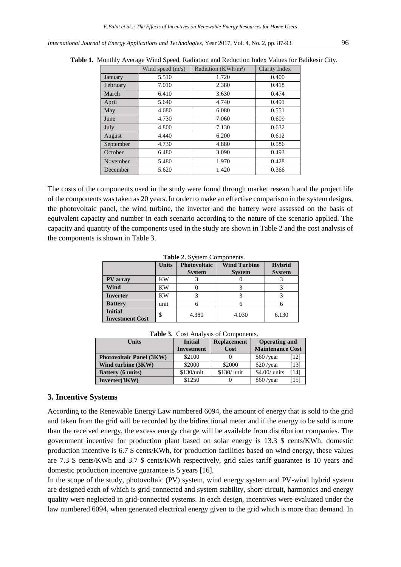|           | Wind speed $(m/s)$ | Radiation (KWh/m <sup>2</sup> ) | <b>Clarity Index</b> |
|-----------|--------------------|---------------------------------|----------------------|
| January   | 5.510              | 1.720                           | 0.400                |
| February  | 7.010              | 2.380                           | 0.418                |
| March     | 6.410              | 3.630                           | 0.474                |
| April     | 5.640              | 4.740                           | 0.491                |
| May       | 4.680              | 6.080                           | 0.551                |
| June      | 4.730              | 7.060                           | 0.609                |
| July      | 4.800              | 7.130                           | 0.632                |
| August    | 4.440              | 6.200                           | 0.612                |
| September | 4.730              | 4.880                           | 0.586                |
| October   | 6.480              | 3.090                           | 0.493                |
| November  | 5.480              | 1.970                           | 0.428                |
| December  | 5.620              | 1.420                           | 0.366                |

**Table 1.** Monthly Average Wind Speed, Radiation and Reduction Index Values for Balikesir City.

The costs of the components used in the study were found through market research and the project life of the components was taken as 20 years. In order to make an effective comparison in the system designs, the photovoltaic panel, the wind turbine, the inverter and the battery were assessed on the basis of equivalent capacity and number in each scenario according to the nature of the scenario applied. The capacity and quantity of the components used in the study are shown in Table 2 and the cost analysis of the components is shown in Table 3.

|                                          | <b>Units</b> | <b>Photovoltaic</b> | <b>Wind Turbine</b> | <b>Hybrid</b> |
|------------------------------------------|--------------|---------------------|---------------------|---------------|
|                                          |              | <b>System</b>       | <b>System</b>       | <b>System</b> |
| PV array                                 | ΚW           |                     |                     |               |
| Wind                                     | ΚW           |                     |                     |               |
| <b>Inverter</b><br>ΚW                    |              |                     |                     |               |
| <b>Battery</b>                           | unit         |                     | h                   |               |
| <b>Initial</b><br><b>Investment Cost</b> | \$           | 4.380               | 4.030               | 6.130         |

**Table 2.** System Components.

| <b>Units</b>                    | <b>Initial</b>    | <b>Replacement</b>              | <b>Operating and</b> |      |
|---------------------------------|-------------------|---------------------------------|----------------------|------|
|                                 | <b>Investment</b> | <b>Maintenance Cost</b><br>Cost |                      |      |
| <b>Photovoltaic Panel (3KW)</b> | \$2100            |                                 | $$60$ /year          | [12] |
| Wind turbine (3KW)              | \$2000            | \$2000                          | $$20$ /year          | [13] |
| <b>Battery</b> (6 units)        | \$130/unit        | $$130/$ unit                    | \$4.00/ units        | [14] |
| Inverter (3KW)                  | \$1250            |                                 | $$60$ /year          | [15] |

**Table 3.** Cost Analysis of Components.

## **3. Incentive Systems**

According to the Renewable Energy Law numbered 6094, the amount of energy that is sold to the grid and taken from the grid will be recorded by the bidirectional meter and if the energy to be sold is more than the received energy, the excess energy charge will be available from distribution companies. The government incentive for production plant based on solar energy is 13.3 \$ cents/KWh, domestic production incentive is 6.7 \$ cents/KWh, for production facilities based on wind energy, these values are 7.3 \$ cents/KWh and 3.7 \$ cents/KWh respectively, grid sales tariff guarantee is 10 years and domestic production incentive guarantee is 5 years [16].

In the scope of the study, photovoltaic (PV) system, wind energy system and PV-wind hybrid system are designed each of which is grid-connected and system stability, short-circuit, harmonics and energy quality were neglected in grid-connected systems. In each design, incentives were evaluated under the law numbered 6094, when generated electrical energy given to the grid which is more than demand. In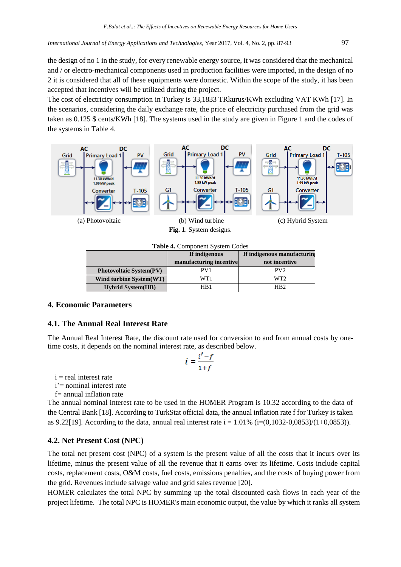the design of no 1 in the study, for every renewable energy source, it was considered that the mechanical and / or electro-mechanical components used in production facilities were imported, in the design of no 2 it is considered that all of these equipments were domestic. Within the scope of the study, it has been accepted that incentives will be utilized during the project.

The cost of electricity consumption in Turkey is 33,1833 TRkurus/KWh excluding VAT KWh [17]. In the scenarios, considering the daily exchange rate, the price of electricity purchased from the grid was taken as 0.125 \$ cents/KWh [18]. The systems used in the study are given in Figure 1 and the codes of the systems in Table 4.



**Table 4.** Component System Codes

|                                | If indigenous           | If indigenous manufacturing |
|--------------------------------|-------------------------|-----------------------------|
|                                | manufacturing incentive | not incentive               |
| <b>Photovoltaic System(PV)</b> | PV <sub>1</sub>         | PV2                         |
| Wind turbine System(WT)        | WT1                     | WT2.                        |
| <b>Hybrid System(HB)</b>       | HB 1                    | HB <sub>2</sub>             |

# **4. Economic Parameters**

# **4.1. The Annual Real Interest Rate**

The Annual Real Interest Rate, the discount rate used for conversion to and from annual costs by onetime costs, it depends on the nominal interest rate, as described below.

$$
i = \frac{i'-f}{1+f}
$$

```
i = real interest rate
```
i'= nominal interest rate

f= annual inflation rate

The annual nominal interest rate to be used in the HOMER Program is 10.32 according to the data of the Central Bank [18]. According to TurkStat official data, the annual inflation rate f for Turkey is taken as 9.22[19]. According to the data, annual real interest rate  $i = 1.01\%$  ( $i = (0.1032 - 0.0853)/(1 + 0.0853)$ ).

# **4.2. Net Present Cost (NPC)**

The total net present cost (NPC) of a system is the present value of all the costs that it incurs over its lifetime, minus the present value of all the revenue that it earns over its lifetime. Costs include capital costs, replacement costs, O&M costs, fuel costs, emissions penalties, and the costs of buying power from the grid. Revenues include salvage value and grid sales revenue [20].

HOMER calculates the total NPC by summing up the total discounted cash flows in each year of the project lifetime. The total NPC is HOMER's main economic output, the value by which it ranks all system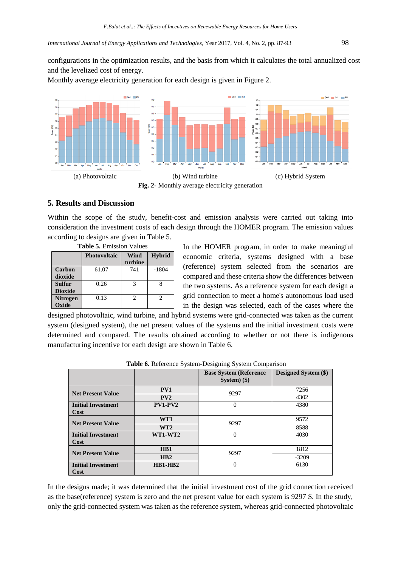configurations in the optimization results, and the basis from which it calculates the total annualized cost and the levelized cost of energy.

Monthly average electricity generation for each design is given in Figure 2.



## **5. Results and Discussion**

Within the scope of the study, benefit-cost and emission analysis were carried out taking into consideration the investment costs of each design through the HOMER program. The emission values according to designs are given in Table 5.

| <b>Table 5. Emission Values</b> |                                                         |                             |                             |  |  |  |  |
|---------------------------------|---------------------------------------------------------|-----------------------------|-----------------------------|--|--|--|--|
|                                 | <b>Hybrid</b><br>Wind<br><b>Photovoltaic</b><br>turbine |                             |                             |  |  |  |  |
| <b>Carbon</b><br>dioxide        | 61.07                                                   | 741                         | $-1804$                     |  |  |  |  |
| <b>Sulfur</b><br><b>Dioxide</b> | 0.26                                                    | $\mathbf 3$                 |                             |  |  |  |  |
| <b>Nitrogen</b><br>Oxide        | 0.13                                                    | $\mathcal{D}_{\mathcal{A}}$ | $\mathcal{D}_{\mathcal{A}}$ |  |  |  |  |

|  |  |  | $\epsilon$ to designs are green in Taor |  |  |
|--|--|--|-----------------------------------------|--|--|
|  |  |  | Table 5 Emission Values                 |  |  |

In the HOMER program, in order to make meaningful economic criteria, systems designed with a base (reference) system selected from the scenarios are compared and these criteria show the differences between the two systems. As a reference system for each design a grid connection to meet a home's autonomous load used in the design was selected, each of the cases where the

designed photovoltaic, wind turbine, and hybrid systems were grid-connected was taken as the current system (designed system), the net present values of the systems and the initial investment costs were determined and compared. The results obtained according to whether or not there is indigenous manufacturing incentive for each design are shown in Table 6.

|                                   |                 | л.                                               |                             |
|-----------------------------------|-----------------|--------------------------------------------------|-----------------------------|
|                                   |                 | <b>Base System (Reference</b><br>System $)$ (\$) | <b>Designed System (\$)</b> |
| <b>Net Present Value</b>          | PV1             | 9297                                             | 7256                        |
|                                   | PV2             |                                                  | 4302                        |
| <b>Initial Investment</b><br>Cost | $PV1-PV2$       | 0                                                | 4380                        |
| <b>Net Present Value</b>          | WT1             | 9297                                             | 9572                        |
|                                   | WT <sub>2</sub> |                                                  | 8588                        |
| <b>Initial Investment</b><br>Cost | WT1-WT2         | $\theta$                                         | 4030                        |
| <b>Net Present Value</b>          | HB1             | 9297                                             | 1812                        |
|                                   | HB2             |                                                  | $-3209$                     |
| <b>Initial Investment</b><br>Cost | $HB1-HB2$       | $\Omega$                                         | 6130                        |

**Table 6.** Reference System-Designing System Comparison

In the designs made; it was determined that the initial investment cost of the grid connection received as the base(reference) system is zero and the net present value for each system is 9297 \$. In the study, only the grid-connected system was taken as the reference system, whereas grid-connected photovoltaic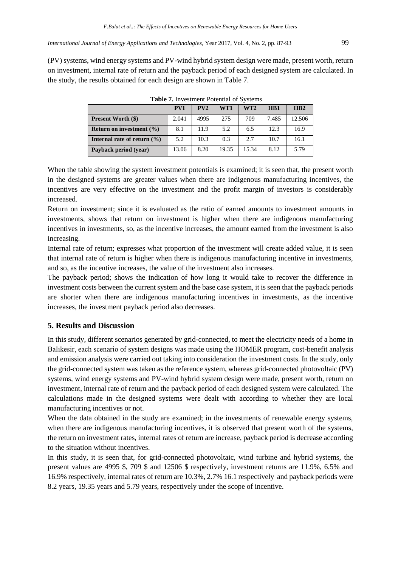(PV) systems, wind energy systems and PV-wind hybrid system design were made, present worth, return on investment, internal rate of return and the payback period of each designed system are calculated. In the study, the results obtained for each design are shown in Table 7.

| $-$ 0.0 $-$ 0.0 $-$ 0.0 $-$ 0.0 $-$ 0.0 $-$ 0.0 $-$ 0.0 $-$ 0.0 $-$ 0.0 $-$ 0.0 $-$ 0.0 $-$ 0.0 $-$ 0.0 $-$ 0.0 $-$ 0.0 $-$ 0.0 $-$ 0.0 $-$ 0.0 $-$ 0.0 $-$ 0.0 $-$ 0.0 $-$ 0.0 $-$ 0.0 $-$ 0.0 $-$ 0.0 $-$ 0.0 $-$ 0.0 $-$ 0 |       |      |       |       |                  |        |
|-------------------------------------------------------------------------------------------------------------------------------------------------------------------------------------------------------------------------------|-------|------|-------|-------|------------------|--------|
|                                                                                                                                                                                                                               | PV1   | PV2  | WT1   | WT2   | H <sub>B</sub> 1 | HB2    |
| <b>Present Worth (\$)</b>                                                                                                                                                                                                     | 2.041 | 4995 | 275   | 709   | 7.485            | 12.506 |
| Return on investment $(\% )$                                                                                                                                                                                                  | 8.1   | 11.9 | 5.2   | 6.5   | 12.3             | 16.9   |
| Internal rate of return $(\% )$                                                                                                                                                                                               | 5.2   | 10.3 | 0.3   | 2.7   | 10.7             | 16.1   |
| Payback period (year)                                                                                                                                                                                                         | 13.06 | 8.20 | 19.35 | 15.34 | 8.12             | 5.79   |

**Table 7.** Investment Potential of Systems

When the table showing the system investment potentials is examined; it is seen that, the present worth in the designed systems are greater values when there are indigenous manufacturing incentives, the incentives are very effective on the investment and the profit margin of investors is considerably increased.

Return on investment; since it is evaluated as the ratio of earned amounts to investment amounts in investments, shows that return on investment is higher when there are indigenous manufacturing incentives in investments, so, as the incentive increases, the amount earned from the investment is also increasing.

Internal rate of return; expresses what proportion of the investment will create added value, it is seen that internal rate of return is higher when there is indigenous manufacturing incentive in investments, and so, as the incentive increases, the value of the investment also increases.

The payback period; shows the indication of how long it would take to recover the difference in investment costs between the current system and the base case system, it is seen that the payback periods are shorter when there are indigenous manufacturing incentives in investments, as the incentive increases, the investment payback period also decreases.

# **5. Results and Discussion**

In this study, different scenarios generated by grid-connected, to meet the electricity needs of a home in Balıkesir, each scenario of system designs was made using the HOMER program, cost-benefit analysis and emission analysis were carried out taking into consideration the investment costs. In the study, only the grid-connected system was taken as the reference system, whereas grid-connected photovoltaic (PV) systems, wind energy systems and PV-wind hybrid system design were made, present worth, return on investment, internal rate of return and the payback period of each designed system were calculated. The calculations made in the designed systems were dealt with according to whether they are local manufacturing incentives or not.

When the data obtained in the study are examined; in the investments of renewable energy systems, when there are indigenous manufacturing incentives, it is observed that present worth of the systems, the return on investment rates, internal rates of return are increase, payback period is decrease according to the situation without incentives.

In this study, it is seen that, for grid-connected photovoltaic, wind turbine and hybrid systems, the present values are 4995 \$, 709 \$ and 12506 \$ respectively, investment returns are 11.9%, 6.5% and 16.9% respectively, internal rates of return are 10.3%, 2.7% 16.1 respectively and payback periods were 8.2 years, 19.35 years and 5.79 years, respectively under the scope of incentive.